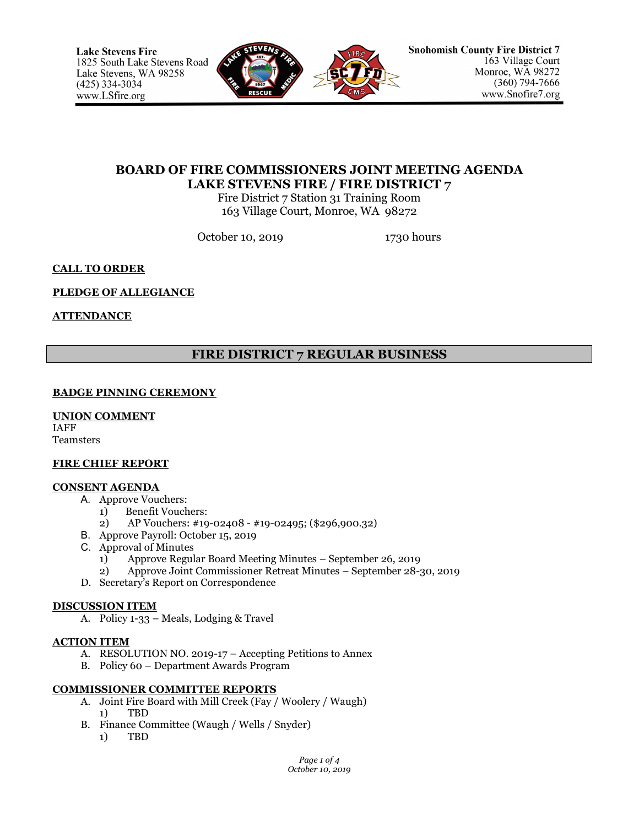

# **BOARD OF FIRE COMMISSIONERS JOINT MEETING AGENDA LAKE STEVENS FIRE / FIRE DISTRICT 7**

Fire District 7 Station 31 Training Room 163 Village Court, Monroe, WA 98272

October 10, 2019 1730 hours

## **CALL TO ORDER**

## **PLEDGE OF ALLEGIANCE**

## **ATTENDANCE**

# **FIRE DISTRICT 7 REGULAR BUSINESS**

## **BADGE PINNING CEREMONY**

### **UNION COMMENT**

IAFF Teamsters

### **FIRE CHIEF REPORT**

### **CONSENT AGENDA**

- A. Approve Vouchers:
	- 1) Benefit Vouchers:
		- 2) AP Vouchers: #19-02408 #19-02495; (\$296,900.32)
- B. Approve Payroll: October 15, 2019
- C. Approval of Minutes
	- 1) Approve Regular Board Meeting Minutes September 26, 2019
	- 2) Approve Joint Commissioner Retreat Minutes September 28-30, 2019
- D. Secretary's Report on Correspondence

### **DISCUSSION ITEM**

A. Policy 1-33 – Meals, Lodging & Travel

### **ACTION ITEM**

- A. RESOLUTION NO. 2019-17 Accepting Petitions to Annex
- B. Policy 60 Department Awards Program

## **COMMISSIONER COMMITTEE REPORTS**

- A. Joint Fire Board with Mill Creek (Fay / Woolery / Waugh) 1) TBD
- B. Finance Committee (Waugh / Wells / Snyder)
	- 1) TBD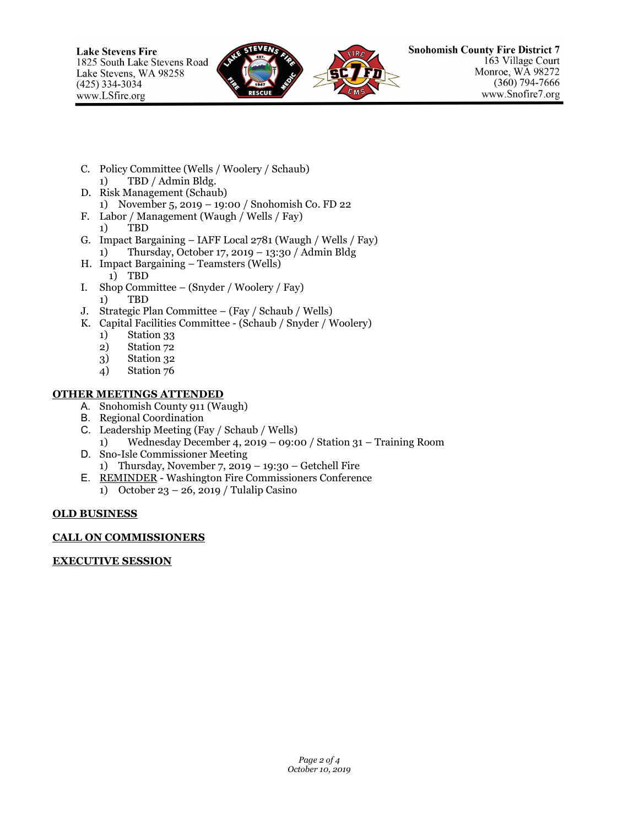

- C. Policy Committee (Wells / Woolery / Schaub) 1) TBD / Admin Bldg.
- D. Risk Management (Schaub) 1) November 5, 2019 – 19:00 / Snohomish Co. FD 22
- F. Labor / Management (Waugh / Wells / Fay)
	- 1) TBD
- G. Impact Bargaining IAFF Local 2781 (Waugh / Wells / Fay) 1) Thursday, October 17, 2019 – 13:30 / Admin Bldg
- H. Impact Bargaining Teamsters (Wells) 1) TBD
- I. Shop Committee (Snyder / Woolery / Fay) 1) TBD
- J. Strategic Plan Committee (Fay / Schaub / Wells)
- K. Capital Facilities Committee (Schaub / Snyder / Woolery)
	- 1) Station 33
	- 2) Station 72
	- 3) Station 32
	- 4) Station 76

## **OTHER MEETINGS ATTENDED**

- A. Snohomish County 911 (Waugh)
- B. Regional Coordination
- C. Leadership Meeting (Fay / Schaub / Wells) 1) Wednesday December 4, 2019 – 09:00 / Station 31 – Training Room
- D. Sno-Isle Commissioner Meeting 1) Thursday, November 7, 2019 – 19:30 – Getchell Fire
- E. REMINDER Washington Fire Commissioners Conference
	- 1) October 23 26, 2019 / Tulalip Casino

## **OLD BUSINESS**

## **CALL ON COMMISSIONERS**

## **EXECUTIVE SESSION**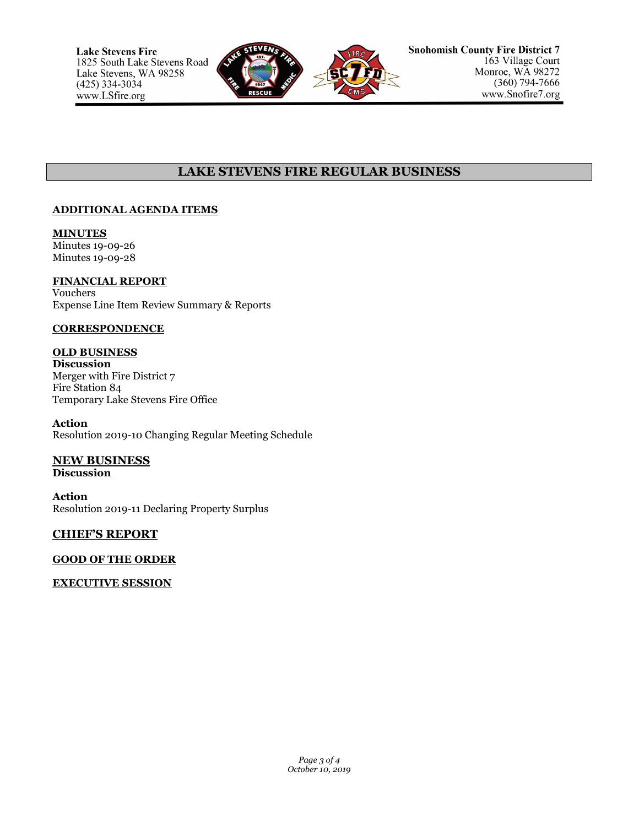

# **LAKE STEVENS FIRE REGULAR BUSINESS**

## **ADDITIONAL AGENDA ITEMS**

**MINUTES** Minutes 19-09-26 Minutes 19-09-28

## **FINANCIAL REPORT**

Vouchers Expense Line Item Review Summary & Reports

## **CORRESPONDENCE**

# **OLD BUSINESS**

**Discussion** Merger with Fire District 7 Fire Station 84 Temporary Lake Stevens Fire Office

**Action** Resolution 2019-10 Changing Regular Meeting Schedule

## **NEW BUSINESS**

**Discussion**

**Action** Resolution 2019-11 Declaring Property Surplus

## **CHIEF'S REPORT**

## **GOOD OF THE ORDER**

## **EXECUTIVE SESSION**